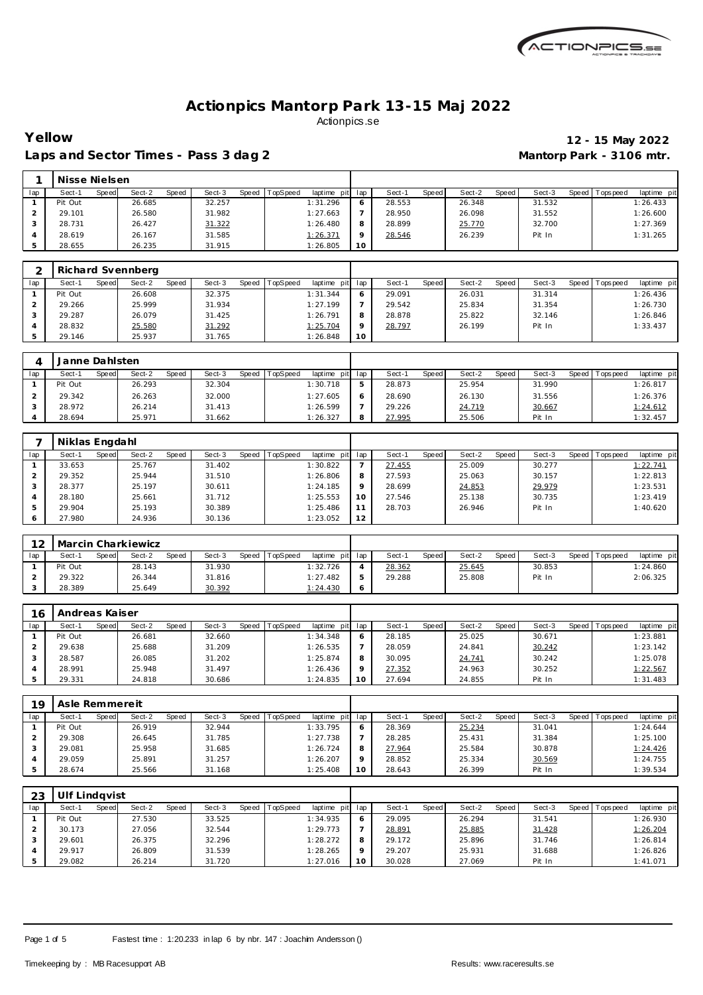

Laps and Sector Times - Pass 3 dag 2 **Mantorp Park - 3106 mtr.** 

# **Yellow 12 - 15 May 2022**

|     | Nisse Nielsen |       |        |       |        |       |          |             |         |        |       |        |       |        |                |             |
|-----|---------------|-------|--------|-------|--------|-------|----------|-------------|---------|--------|-------|--------|-------|--------|----------------|-------------|
| lap | Sect-1        | Speed | Sect-2 | Speed | Sect-3 | Speed | TopSpeed | laptime pit | lap     | Sect-  | Speed | Sect-2 | Speed | Sect-3 | Speed Topspeed | laptime pit |
|     | Pit Out       |       | 26.685 |       | 32.257 |       |          | 1:31.296    | 6       | 28.553 |       | 26.348 |       | 31.532 |                | 1:26.433    |
|     | 29.101        |       | 26.580 |       | 31.982 |       |          | 1:27.663    |         | 28.950 |       | 26.098 |       | 31.552 |                | 1:26.600    |
|     | 28.731        |       | 26.427 |       | 31.322 |       |          | 1:26.480    | 8       | 28.899 |       | 25.770 |       | 32.700 |                | 1:27.369    |
|     | 28.619        |       | 26.167 |       | 31.585 |       |          | 1:26.371    | $\circ$ | 28.546 |       | 26.239 |       | Pit In |                | 1:31.265    |
| 5   | 28.655        |       | 26.235 |       | 31.915 |       |          | 1:26.805    | 10      |        |       |        |       |        |                |             |

|     | Richard Svennberg |       |        |       |        |                  |                 |         |        |              |        |       |        |         |           |             |
|-----|-------------------|-------|--------|-------|--------|------------------|-----------------|---------|--------|--------------|--------|-------|--------|---------|-----------|-------------|
| lap | Sect-1            | Speed | Sect-2 | Speed | Sect-3 | Speed   TopSpeed | laptime pit lap |         | Sect-1 | <b>Speed</b> | Sect-2 | Speed | Sect-3 | Speed I | Tops peed | laptime pit |
|     | Pit Out           |       | 26.608 |       | 32.375 |                  | 1:31.344        | 6       | 29.091 |              | 26.031 |       | 31.314 |         |           | 1:26.436    |
|     | 29.266            |       | 25.999 |       | 31.934 |                  | 1:27.199        |         | 29.542 |              | 25.834 |       | 31.354 |         |           | 1:26.730    |
|     | 29.287            |       | 26.079 |       | 31.425 |                  | 1:26.791        | 8       | 28.878 |              | 25.822 |       | 32.146 |         |           | 1:26.846    |
|     | 28.832            |       | 25.580 |       | 31.292 |                  | 1:25.704        | $\circ$ | 28.797 |              | 26.199 |       | Pit In |         |           | 1:33.437    |
|     | 29.146            |       | 25.937 |       | 31.765 |                  | 1:26.848        | 10      |        |              |        |       |        |         |           |             |

|     | Janne Dahlsten |       |        |       |        |                |                 |   |        |       |        |        |        |                   |             |
|-----|----------------|-------|--------|-------|--------|----------------|-----------------|---|--------|-------|--------|--------|--------|-------------------|-------------|
| lap | Sect-1         | Speed | Sect-2 | Speed | Sect-3 | Speed TopSpeed | laptime pit lap |   | Sect-1 | Speed | Sect-2 | Speed, | Sect-3 | Speed   Tops peed | laptime pit |
|     | Pit Out        |       | 26.293 |       | 32.304 |                | 1:30.718        | ь | 28.873 |       | 25.954 |        | 31.990 |                   | 1:26.817    |
|     | 29.342         |       | 26.263 |       | 32.000 |                | 1:27.605        | 6 | 28.690 |       | 26.130 |        | 31.556 |                   | 1:26.376    |
|     | 28.972         |       | 26.214 |       | 31.413 |                | 1:26.599        |   | 29.226 |       | 24.719 |        | 30.667 |                   | 1:24.612    |
|     | 28.694         |       | 25.971 |       | 31.662 |                | 1:26.327        | 8 | 27.995 |       | 25.506 |        | Pit In |                   | 1:32.457    |

|     | Niklas Engdahl  |        |       |        |       |          |             |         |        |       |        |       |        |         |           |             |
|-----|-----------------|--------|-------|--------|-------|----------|-------------|---------|--------|-------|--------|-------|--------|---------|-----------|-------------|
| lap | Sect-1<br>Speed | Sect-2 | Speed | Sect-3 | Speed | TopSpeed | laptime pit | lap     | Sect-1 | Speed | Sect-2 | Speed | Sect-3 | Speed I | Tops peed | laptime pit |
|     | 33.653          | 25.767 |       | 31.402 |       |          | 1:30.822    |         | 27.455 |       | 25.009 |       | 30.277 |         |           | 1:22.741    |
|     | 29.352          | 25.944 |       | 31.510 |       |          | 1:26.806    | 8       | 27.593 |       | 25.063 |       | 30.157 |         |           | 1:22.813    |
|     | 28.377          | 25.197 |       | 30.611 |       |          | 1:24.185    | $\circ$ | 28.699 |       | 24.853 |       | 29.979 |         |           | 1:23.531    |
|     | 28.180          | 25.661 |       | 31.712 |       |          | 1:25.553    | 10      | 27.546 |       | 25.138 |       | 30.735 |         |           | 1:23.419    |
|     | 29.904          | 25.193 |       | 30.389 |       |          | 1:25.486    |         | 28.703 |       | 26.946 |       | Pit In |         |           | 1:40.620    |
|     | 27.980          | 24.936 |       | 30.136 |       |          | 1:23.052    | 12      |        |       |        |       |        |         |           |             |

| $\Omega$ |         |       | Marcin Charkiewicz |       |        |       |          |                 |        |       |        |         |        |                   |             |
|----------|---------|-------|--------------------|-------|--------|-------|----------|-----------------|--------|-------|--------|---------|--------|-------------------|-------------|
| lap      | Sect-′  | Speed | Sect-2             | Speed | Sect-3 | Speed | TopSpeed | laptime pit lap | Sect-1 | Speed | Sect-2 | Speed I | Sect-3 | Speed   Tops peed | laptime pit |
|          | Pit Out |       | 28.143             |       | 31.930 |       |          | 1:32.726        | 28.362 |       | 25.645 |         | 30.853 |                   | 1:24.860    |
|          | 29.322  |       | 26.344             |       | 31.816 |       |          | 1:27.482        | 29.288 |       | 25.808 |         | Pit In |                   | 2:06.325    |
|          | 28.389  |       | 25.649             |       | 30.392 |       |          | 1:24.430        |        |       |        |         |        |                   |             |

| 16  | Andreas Kaiser |       |        |       |        |       |         |             |     |        |       |        |       |        |         |            |             |
|-----|----------------|-------|--------|-------|--------|-------|---------|-------------|-----|--------|-------|--------|-------|--------|---------|------------|-------------|
| lap | Sect-1         | Speed | Sect-2 | Speed | Sect-3 | Speed | opSpeed | laptime pit | lac | Sect-1 | Speed | Sect-2 | Speed | Sect-3 | Speed I | Tops pee d | laptime pit |
|     | Pit Out        |       | 26.681 |       | 32.660 |       |         | 1:34.348    |     | 28.185 |       | 25.025 |       | 30.671 |         |            | 1:23.881    |
|     | 29.638         |       | 25.688 |       | 31.209 |       |         | 1:26.535    |     | 28.059 |       | 24.841 |       | 30.242 |         |            | 1:23.142    |
|     | 28.587         |       | 26.085 |       | 31.202 |       |         | 1:25.874    |     | 30.095 |       | 24.741 |       | 30.242 |         |            | 1:25.078    |
|     | 28.991         |       | 25.948 |       | 31.497 |       |         | 1:26.436    |     | 27.352 |       | 24.963 |       | 30.252 |         |            | 1:22.567    |
|     | 29.331         |       | 24.818 |       | 30.686 |       |         | 1:24.835    | 10  | 27.694 |       | 24.855 |       | Pit In |         |            | 1:31.483    |

| 1Q  | Asle Remmereit |       |        |       |        |                |             |         |        |       |        |       |        |         |                  |             |
|-----|----------------|-------|--------|-------|--------|----------------|-------------|---------|--------|-------|--------|-------|--------|---------|------------------|-------------|
| lap | Sect-1         | Speed | Sect-2 | Speed | Sect-3 | Speed TopSpeed | laptime pit | lap     | Sect-  | Speed | Sect-2 | Speed | Sect-3 | Speed I | <b>Tops peed</b> | laptime pit |
|     | Pit Out        |       | 26.919 |       | 32.944 |                | 1:33.795    | O       | 28.369 |       | 25.234 |       | 31.041 |         |                  | 1:24.644    |
|     | 29.308         |       | 26.645 |       | 31.785 |                | 1:27.738    |         | 28.285 |       | 25.431 |       | 31.384 |         |                  | 1:25.100    |
|     | 29.081         |       | 25.958 |       | 31.685 |                | 1:26.724    | 8       | 27.964 |       | 25.584 |       | 30.878 |         |                  | 1:24.426    |
|     | 29.059         |       | 25.891 |       | 31.257 |                | 1:26.207    | $\circ$ | 28.852 |       | 25.334 |       | 30.569 |         |                  | 1:24.755    |
|     | 28.674         |       | 25.566 |       | 31.168 |                | 1:25.408    | 10      | 28.643 |       | 26.399 |       | Pit In |         |                  | 1:39.534    |

| 23  | Ulf Lindavist |       |        |       |        |                |             |                 |        |       |        |       |        |       |            |             |
|-----|---------------|-------|--------|-------|--------|----------------|-------------|-----------------|--------|-------|--------|-------|--------|-------|------------|-------------|
| lap | Sect-1        | Speed | Sect-2 | Speed | Sect-3 | Speed TopSpeed | laptime pit | lap             | Sect-1 | Speed | Sect-2 | Speed | Sect-3 | Speed | Tops pee d | laptime pit |
|     | Pit Out       |       | 27.530 |       | 33.525 |                | 1:34.935    | $\circ$         | 29.095 |       | 26.294 |       | 31.541 |       |            | 1:26.930    |
|     | 30.173        |       | 27.056 |       | 32.544 |                | 1:29.773    |                 | 28.891 |       | 25.885 |       | 31.428 |       |            | 1:26.204    |
|     | 29.601        |       | 26.375 |       | 32.296 |                | 1:28.272    | 8               | 29.172 |       | 25.896 |       | 31.746 |       |            | 1:26.814    |
|     | 29.917        |       | 26.809 |       | 31.539 |                | 1:28.265    | $\circ$         | 29.207 |       | 25.931 |       | 31.688 |       |            | 1:26.826    |
|     | 29.082        |       | 26.214 |       | 31.720 |                | 1:27.016    | 10 <sup>°</sup> | 30.028 |       | 27.069 |       | Pit In |       |            | 1:41.071    |

Page 1 of 5 Fastest time : 1:20.233 in lap 6 by nbr. 147 : Joachim Andersson ()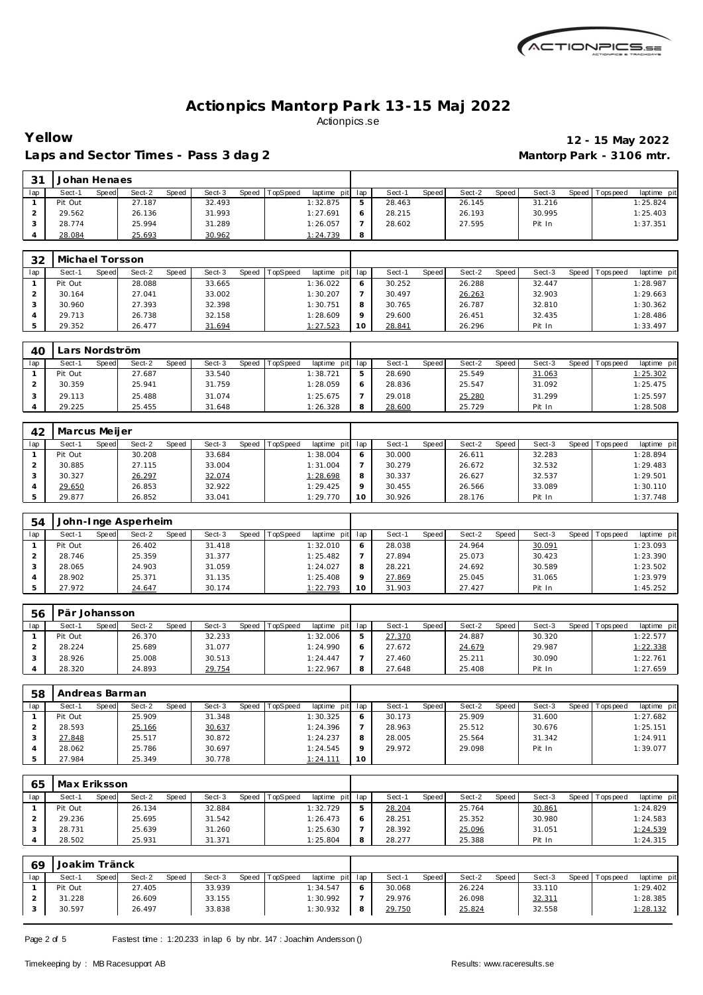

## Laps and Sector Times - Pass 3 dag 2 **Mantorp Park - 3106 mtr.**

# **Yellow 12 - 15 May 2022**

| 21  | Johan Henaes |       |        |       |        |       |          |                 |        |       |        |       |        |         |           |             |
|-----|--------------|-------|--------|-------|--------|-------|----------|-----------------|--------|-------|--------|-------|--------|---------|-----------|-------------|
| lap | Sect-1       | Speed | Sect-2 | Speed | Sect-3 | Speed | TopSpeed | laptime pit lap | Sect-1 | Speed | Sect-2 | Speed | Sect-3 | Speed I | Tops peed | laptime pit |
|     | Pit Out      |       | 27.187 |       | 32.493 |       |          | 1:32.875        | 28.463 |       | 26.145 |       | 31.216 |         |           | 1:25.824    |
|     | 29.562       |       | 26.136 |       | 31.993 |       |          | 1:27.691        | 28.215 |       | 26.193 |       | 30.995 |         |           | 1:25.403    |
|     | 28.774       |       | 25.994 |       | 31.289 |       |          | 1:26.057        | 28.602 |       | 27.595 |       | Pit In |         |           | 1:37.351    |
|     | 28.084       |       | 25.693 |       | 30.962 |       |          | 1:24.739        |        |       |        |       |        |         |           |             |

| 32  | Michael Torsson |                 |       |        |       |          |                 |    |        |              |        |       |        |         |           |             |
|-----|-----------------|-----------------|-------|--------|-------|----------|-----------------|----|--------|--------------|--------|-------|--------|---------|-----------|-------------|
| lap | Sect-1          | Sect-2<br>Speed | Speed | Sect-3 | Speed | TopSpeed | laptime pit lap |    | Sect-1 | <b>Speed</b> | Sect-2 | Speed | Sect-3 | Speed I | Tops peed | laptime pit |
|     | Pit Out         | 28.088          |       | 33.665 |       |          | 1:36.022        |    | 30.252 |              | 26.288 |       | 32.447 |         |           | 1:28.987    |
|     | 30.164          | 27.041          |       | 33.002 |       |          | 1:30.207        |    | 30.497 |              | 26.263 |       | 32.903 |         |           | 1:29.663    |
|     | 30.960          | 27.393          |       | 32.398 |       |          | 1:30.751        |    | 30.765 |              | 26.787 |       | 32.810 |         |           | 1:30.362    |
|     | 29.713          | 26.738          |       | 32.158 |       |          | 1:28.609        |    | 29.600 |              | 26.451 |       | 32.435 |         |           | 1:28.486    |
|     | 29.352          | 26.477          |       | 31.694 |       |          | 1:27.523        | 10 | 28.841 |              | 26.296 |       | Pit In |         |           | 1:33.497    |

| 40  | Lars Nordström |       |        |       |        |       |                 |                 |        |       |        |       |        |                   |             |
|-----|----------------|-------|--------|-------|--------|-------|-----------------|-----------------|--------|-------|--------|-------|--------|-------------------|-------------|
| lap | Sect-1         | Speed | Sect-2 | Speed | Sect-3 | Speed | <b>TopSpeed</b> | laptime pit lap | Sect-1 | Speed | Sect-2 | Speed | Sect-3 | Speed   Tops peed | laptime pit |
|     | Pit Out        |       | 27.687 |       | 33.540 |       |                 | 1:38.721        | 28.690 |       | 25.549 |       | 31.063 |                   | 1:25.302    |
|     | 30.359         |       | 25.941 |       | 31.759 |       |                 | 1:28.059        | 28.836 |       | 25.547 |       | 31.092 |                   | 1:25.475    |
|     | 29.113         |       | 25.488 |       | 31.074 |       |                 | 1:25.675        | 29.018 |       | 25.280 |       | 31.299 |                   | 1:25.597    |
|     | 29.225         |       | 25.455 |       | 31.648 |       |                 | 1:26.328        | 28.600 |       | 25.729 |       | Pit In |                   | 1:28.508    |

| 42  | Marcus Meijer |       |        |       |        |       |          |                |         |        |       |        |       |        |       |            |             |
|-----|---------------|-------|--------|-------|--------|-------|----------|----------------|---------|--------|-------|--------|-------|--------|-------|------------|-------------|
| lap | Sect-1        | Speed | Sect-2 | Speed | Sect-3 | Speed | TopSpeed | laptime<br>pit | lap     | Sect-  | Speed | Sect-2 | Speed | Sect-3 | Speed | Tops pee d | laptime pit |
|     | Pit Out       |       | 30.208 |       | 33.684 |       |          | 1:38.004       | O       | 30.000 |       | 26.611 |       | 32.283 |       |            | 1:28.894    |
|     | 30.885        |       | 27.115 |       | 33.004 |       |          | 1:31.004       |         | 30.279 |       | 26.672 |       | 32.532 |       |            | 1:29.483    |
|     | 30.327        |       | 26.297 |       | 32.074 |       |          | 1:28.698       | 8       | 30.337 |       | 26.627 |       | 32.537 |       |            | 1:29.501    |
|     | 29.650        |       | 26.853 |       | 32.922 |       |          | 1:29.425       | $\circ$ | 30.455 |       | 26.566 |       | 33.089 |       |            | 1:30.110    |
|     | 29.877        |       | 26.852 |       | 33.041 |       |          | 1:29.770       | 10      | 30.926 |       | 28.176 |       | Pit In |       |            | 1:37.748    |

| 54  |         |       | John-Inge Asperheim |       |        |                |             |         |        |       |        |       |        |         |           |             |
|-----|---------|-------|---------------------|-------|--------|----------------|-------------|---------|--------|-------|--------|-------|--------|---------|-----------|-------------|
| lap | Sect-1  | Speed | Sect-2              | Speed | Sect-3 | Speed TopSpeed | laptime pit | lap     | Sect-1 | Speed | Sect-2 | Speed | Sect-3 | Speed I | Tops peed | laptime pit |
|     | Pit Out |       | 26.402              |       | 31.418 |                | 1:32.010    | 6       | 28.038 |       | 24.964 |       | 30.091 |         |           | 1:23.093    |
|     | 28.746  |       | 25.359              |       | 31.377 |                | 1:25.482    |         | 27.894 |       | 25.073 |       | 30.423 |         |           | 1:23.390    |
|     | 28.065  |       | 24.903              |       | 31.059 |                | 1:24.027    | 8       | 28.221 |       | 24.692 |       | 30.589 |         |           | 1:23.502    |
|     | 28.902  |       | 25.371              |       | 31.135 |                | 1:25.408    | $\circ$ | 27.869 |       | 25.045 |       | 31.065 |         |           | 1:23.979    |
|     | 27.972  |       | 24.647              |       | 30.174 |                | 1:22.793    | 10      | 31.903 |       | 27.427 |       | Pit In |         |           | 1:45.252    |

| 56  | Pär Johansson |       |        |       |        |       |          |                 |        |       |        |       |        |                 |             |
|-----|---------------|-------|--------|-------|--------|-------|----------|-----------------|--------|-------|--------|-------|--------|-----------------|-------------|
| lap | Sect-1        | Speed | Sect-2 | Speed | Sect-3 | Speed | TopSpeed | laptime pit lap | Sect-1 | Speed | Sect-2 | Speed | Sect-3 | Speed Tops peed | laptime pit |
|     | Pit Out       |       | 26.370 |       | 32.233 |       |          | 1:32.006        | 27.370 |       | 24.887 |       | 30.320 |                 | 1:22.577    |
|     | 28.224        |       | 25.689 |       | 31.077 |       |          | 1:24.990        | 27.672 |       | 24.679 |       | 29.987 |                 | 1:22.338    |
|     | 28.926        |       | 25.008 |       | 30.513 |       |          | 1:24.447        | 27.460 |       | 25.211 |       | 30.090 |                 | 1:22.761    |
|     | 28.320        |       | 24.893 |       | 29.754 |       |          | 1:22.967        | 27.648 |       | 25.408 |       | Pit In |                 | 1:27.659    |

| 58  | Andreas Barman |       |        |       |        |       |                 |             |     |        |       |        |       |        |         |            |             |
|-----|----------------|-------|--------|-------|--------|-------|-----------------|-------------|-----|--------|-------|--------|-------|--------|---------|------------|-------------|
| lap | Sect-1         | Speed | Sect-2 | Speed | Sect-3 | Speed | <b>TopSpeed</b> | laptime pit | lap | Sect-1 | Speed | Sect-2 | Speed | Sect-3 | Speed I | T ops peed | laptime pit |
|     | Pit Out        |       | 25.909 |       | 31.348 |       |                 | 1:30.325    |     | 30.173 |       | 25.909 |       | 31.600 |         |            | 1:27.682    |
|     | 28.593         |       | 25.166 |       | 30.637 |       |                 | 1:24.396    |     | 28.963 |       | 25.512 |       | 30.676 |         |            | 1:25.151    |
|     | 27.848         |       | 25.517 |       | 30.872 |       |                 | 1:24.237    | 8   | 28.005 |       | 25.564 |       | 31.342 |         |            | 1:24.911    |
|     | 28.062         |       | 25.786 |       | 30.697 |       |                 | 1:24.545    |     | 29.972 |       | 29.098 |       | Pit In |         |            | 1:39.077    |
|     | 27.984         |       | 25.349 |       | 30.778 |       |                 | 1: 24.111   | 10  |        |       |        |       |        |         |            |             |

| 65  | Max Eriksson |       |        |       |        |       |                 |              |     |        |       |        |       |        |                   |             |
|-----|--------------|-------|--------|-------|--------|-------|-----------------|--------------|-----|--------|-------|--------|-------|--------|-------------------|-------------|
| lap | Sect-1       | Speed | Sect-2 | Speed | Sect-3 | Speed | <b>TopSpeed</b> | laptime pitl | lap | Sect-1 | Speed | Sect-2 | Speed | Sect-3 | Speed   Tops peed | laptime pit |
|     | Pit Out      |       | 26.134 |       | 32.884 |       |                 | 1:32.729     | ь   | 28.204 |       | 25.764 |       | 30.861 |                   | 1:24.829    |
|     | 29.236       |       | 25.695 |       | 31.542 |       |                 | 1:26.473     |     | 28.251 |       | 25.352 |       | 30.980 |                   | 1:24.583    |
|     | 28.731       |       | 25.639 |       | 31.260 |       |                 | 1:25.630     |     | 28.392 |       | 25.096 |       | 31.051 |                   | 1:24.539    |
|     | 28.502       |       | 25.931 |       | 31.371 |       |                 | 1:25.804     |     | 28.277 |       | 25.388 |       | Pit In |                   | 1:24.315    |

| 69  | Joakim Tränck |       |        |       |        |       |          |                 |        |       |        |       |        |                 |             |
|-----|---------------|-------|--------|-------|--------|-------|----------|-----------------|--------|-------|--------|-------|--------|-----------------|-------------|
| lap | Sect-1        | Speed | Sect-2 | Speed | Sect-3 | Speed | TopSpeed | laptime pit lap | Sect-1 | Speed | Sect-2 | Speed | Sect-3 | Speed Tops peed | laptime pit |
|     | Pit Out       |       | 27.405 |       | 33.939 |       |          | 1:34.547        | 30.068 |       | 26.224 |       | 33.110 |                 | 1:29.402    |
|     | 31.228        |       | 26.609 |       | 33.155 |       |          | 1:30.992        | 29.976 |       | 26.098 |       | 32.311 |                 | 1:28.385    |
|     | 30.597        |       | 26.497 |       | 33.838 |       |          | 1:30.932        | 29.750 |       | 25.824 |       | 32.558 |                 | 1:28.132    |

Page 2 of 5 Fastest time : 1:20.233 in lap 6 by nbr. 147 : Joachim Andersson ()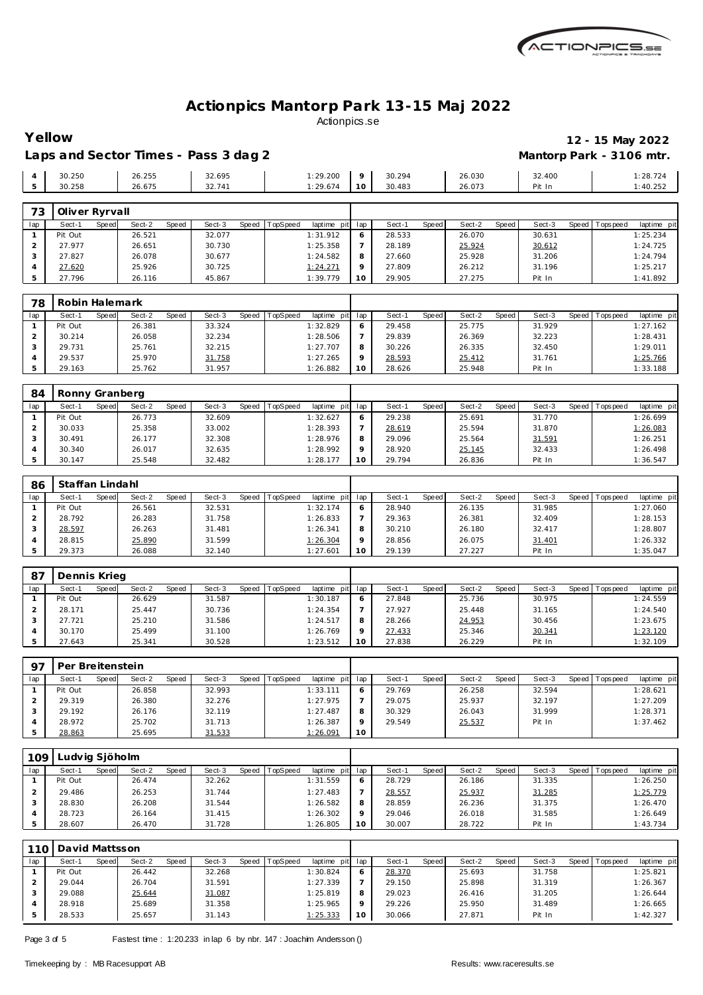

Laps and Sector Times - Pass 3 dag 2 **Mantorp Park - 3106 mtr.** 

## **Yellow 12 - 15 May 2022**

|                |                |       |        |       |        | $\sim$ |          |                 |             |        |       |        |       |        |                |             |
|----------------|----------------|-------|--------|-------|--------|--------|----------|-----------------|-------------|--------|-------|--------|-------|--------|----------------|-------------|
| $\overline{4}$ | 30.250         |       | 26.255 |       | 32.695 |        |          | 1:29.200        | $\mathsf Q$ | 30.294 |       | 26.030 |       | 32.400 |                | 1:28.724    |
| 5              | 30.258         |       | 26.675 |       | 32.741 |        |          | 1:29.674        | 10          | 30.483 |       | 26.073 |       | Pit In |                | 1:40.252    |
|                |                |       |        |       |        |        |          |                 |             |        |       |        |       |        |                |             |
| 73             | Oliver Ryrvall |       |        |       |        |        |          |                 |             |        |       |        |       |        |                |             |
| lap            | Sect-1         | Speed | Sect-2 | Speed | Sect-3 | Speed  | TopSpeed | laptime<br>pitl | lap         | Sect-1 | Speed | Sect-2 | Speed | Sect-3 | Speed Topspeed | laptime pit |
|                | Pit Out        |       | 26.521 |       | 32.077 |        |          | 1:31.912        | O           | 28.533 |       | 26.070 |       | 30.631 |                | 1:25.234    |
| $\mathcal{L}$  | 27.977         |       | 26.651 |       | 30.730 |        |          | 1:25.358        |             | 28.189 |       | 25.924 |       | 30.612 |                | 1:24.725    |
| 3              | 27.827         |       | 26.078 |       | 30.677 |        |          | 1:24.582        | 8           | 27.660 |       | 25.928 |       | 31.206 |                | 1:24.794    |
| $\overline{4}$ | 27.620         |       | 25.926 |       | 30.725 |        |          | 1:24.271        | 9           | 27.809 |       | 26.212 |       | 31.196 |                | 1:25.217    |
|                |                |       |        |       |        |        |          |                 |             |        |       |        |       |        |                |             |

| 78  | Robin Halemark |       |        |       |        |       |          |                 |         |        |       |        |       |        |                   |             |
|-----|----------------|-------|--------|-------|--------|-------|----------|-----------------|---------|--------|-------|--------|-------|--------|-------------------|-------------|
| lap | Sect-1         | Speed | Sect-2 | Speed | Sect-3 | Speed | TopSpeed | laptime pit lap |         | Sect-1 | Speed | Sect-2 | Speed | Sect-3 | Speed   Tops peed | laptime pit |
|     | Pit Out        |       | 26.381 |       | 33.324 |       |          | 1:32.829        |         | 29.458 |       | 25.775 |       | 31.929 |                   | 1:27.162    |
|     | 30.214         |       | 26.058 |       | 32.234 |       |          | 1:28.506        |         | 29.839 |       | 26.369 |       | 32.223 |                   | 1:28.431    |
|     | 29.731         |       | 25.761 |       | 32.215 |       |          | 1:27.707        | 8       | 30.226 |       | 26.335 |       | 32.450 |                   | 1:29.011    |
|     | 29.537         |       | 25.970 |       | 31.758 |       |          | 1:27.265        | $\circ$ | 28.593 |       | 25.412 |       | 31.761 |                   | 1:25.766    |
|     | 29.163         |       | 25.762 |       | 31.957 |       |          | 1:26.882        | 10      | 28.626 |       | 25.948 |       | Pit In |                   | 1:33.188    |

| 84  | Ronny Granberg |                 |       |        |       |          |             |                 |        |       |        |       |        |         |          |             |
|-----|----------------|-----------------|-------|--------|-------|----------|-------------|-----------------|--------|-------|--------|-------|--------|---------|----------|-------------|
| lap | Sect-1         | Sect-2<br>Speed | Speed | Sect-3 | Speed | TopSpeed | laptime pit | lap             | Sect-′ | Speed | Sect-2 | Speed | Sect-3 | Speed I | Topspeed | laptime pit |
|     | Pit Out        | 26.773          |       | 32.609 |       |          | 1:32.627    | O               | 29.238 |       | 25.691 |       | 31.770 |         |          | 1:26.699    |
|     | 30.033         | 25.358          |       | 33.002 |       |          | 1:28.393    |                 | 28.619 |       | 25.594 |       | 31.870 |         |          | 1:26.083    |
|     | 30.491         | 26.177          |       | 32.308 |       |          | 1:28.976    | 8               | 29.096 |       | 25.564 |       | 31.591 |         |          | 1:26.251    |
|     | 30.340         | 26.017          |       | 32.635 |       |          | 1:28.992    | $\Omega$        | 28.920 |       | 25.145 |       | 32.433 |         |          | 1:26.498    |
|     | 30.147         | 25.548          |       | 32.482 |       |          | 1:28.177    | 10 <sup>°</sup> | 29.794 |       | 26.836 |       | Pit In |         |          | 1:36.547    |

| 86  | Staffan Lindahl |       |        |       |        |       |          |             |         |        |       |        |       |        |       |            |             |
|-----|-----------------|-------|--------|-------|--------|-------|----------|-------------|---------|--------|-------|--------|-------|--------|-------|------------|-------------|
| lap | Sect-1          | Speed | Sect-2 | Speed | Sect-3 | Speed | TopSpeed | laptime pit | lap     | Sect-  | Speed | Sect-2 | Speed | Sect-3 | Speed | Tops pee d | laptime pit |
|     | Pit Out         |       | 26.561 |       | 32.531 |       |          | 1:32.174    | 6       | 28.940 |       | 26.135 |       | 31.985 |       |            | 1:27.060    |
|     | 28.792          |       | 26.283 |       | 31.758 |       |          | 1:26.833    |         | 29.363 |       | 26.381 |       | 32.409 |       |            | 1:28.153    |
|     | 28.597          |       | 26.263 |       | 31.481 |       |          | 1:26.341    | 8       | 30.210 |       | 26.180 |       | 32.417 |       |            | 1:28.807    |
|     | 28.815          |       | 25.890 |       | 31.599 |       |          | 1:26.304    | $\circ$ | 28.856 |       | 26.075 |       | 31.401 |       |            | 1:26.332    |
|     | 29.373          |       | 26.088 |       | 32.140 |       |          | 1:27.601    | 10      | 29.139 |       | 27.227 |       | Pit In |       |            | 1:35.047    |

| 87  | Dennis Krieg |       |        |       |        |       |                 |                 |        |       |        |       |        |                 |             |
|-----|--------------|-------|--------|-------|--------|-------|-----------------|-----------------|--------|-------|--------|-------|--------|-----------------|-------------|
| lap | Sect-1       | Speed | Sect-2 | Speed | Sect-3 | Speed | <b>TopSpeed</b> | laptime pit lap | Sect-1 | Speed | Sect-2 | Speed | Sect-3 | Speed Tops peed | laptime pit |
|     | Pit Out      |       | 26.629 |       | 31.587 |       |                 | 1:30.187        | 27.848 |       | 25.736 |       | 30.975 |                 | 1:24.559    |
|     | 28.171       |       | 25.447 |       | 30.736 |       |                 | 1:24.354        | 27.927 |       | 25.448 |       | 31.165 |                 | 1:24.540    |
|     | 27.721       |       | 25.210 |       | 31.586 |       |                 | 1:24.517        | 28.266 |       | 24.953 |       | 30.456 |                 | 1:23.675    |
|     | 30.170       |       | 25.499 |       | 31.100 |       |                 | 1:26.769        | 27.433 |       | 25.346 |       | 30.341 |                 | 1:23.120    |
|     | 27.643       |       | 25.341 |       | 30.528 |       |                 | 1:23.512        | 27.838 |       | 26.229 |       | Pit In |                 | 1:32.109    |

| Q <sub>7</sub> | Per Breitenstein |       |        |       |        |       |          |             |     |        |       |        |         |        |         |          |             |
|----------------|------------------|-------|--------|-------|--------|-------|----------|-------------|-----|--------|-------|--------|---------|--------|---------|----------|-------------|
| lap            | Sect-1           | Speed | Sect-2 | Speed | Sect-3 | Speed | TopSpeed | laptime pit | lap | Sect-1 | Speed | Sect-2 | Speed I | Sect-3 | Speed I | Topspeed | laptime pit |
|                | Pit Out          |       | 26.858 |       | 32.993 |       |          | 1:33.111    |     | 29.769 |       | 26.258 |         | 32.594 |         |          | 1:28.621    |
|                | 29.319           |       | 26.380 |       | 32.276 |       |          | 1:27.975    |     | 29.075 |       | 25.937 |         | 32.197 |         |          | 1:27.209    |
|                | 29.192           |       | 26.176 |       | 32.119 |       |          | 1:27.487    | 8   | 30.329 |       | 26.043 |         | 31.999 |         |          | 1:28.371    |
|                | 28.972           |       | 25.702 |       | 31.713 |       |          | 1:26.387    |     | 29.549 |       | 25.537 |         | Pit In |         |          | 1:37.462    |
|                | 28.863           |       | 25.695 |       | 31.533 |       |          | 1:26.091    | 10  |        |       |        |         |        |         |          |             |

| 109 | udvig Sjöholm |       |        |       |        |       |          |             |                 |        |              |        |       |        |         |           |             |
|-----|---------------|-------|--------|-------|--------|-------|----------|-------------|-----------------|--------|--------------|--------|-------|--------|---------|-----------|-------------|
| lap | Sect-1        | Speed | Sect-2 | Speed | Sect-3 | Speed | TopSpeed | laptime pit | lap             | Sect-' | <b>Speed</b> | Sect-2 | Speed | Sect-3 | Speed I | Tops peed | laptime pit |
|     | Pit Out       |       | 26.474 |       | 32.262 |       |          | 1:31.559    | O               | 28.729 |              | 26.186 |       | 31.335 |         |           | 1:26.250    |
|     | 29.486        |       | 26.253 |       | 31.744 |       |          | 1:27.483    |                 | 28.557 |              | 25.937 |       | 31.285 |         |           | 1:25.779    |
|     | 28.830        |       | 26.208 |       | 31.544 |       |          | 1:26.582    | 8               | 28.859 |              | 26.236 |       | 31.375 |         |           | 1:26.470    |
|     | 28.723        |       | 26.164 |       | 31.415 |       |          | 1:26.302    | $\circ$         | 29.046 |              | 26.018 |       | 31.585 |         |           | 1:26.649    |
|     | 28.607        |       | 26.470 |       | 31.728 |       |          | 1:26.805    | 10 <sup>°</sup> | 30.007 |              | 28.722 |       | Pit In |         |           | 1:43.734    |

|     | 110   David Mattsson |       |        |       |        |       |         |                 |     |        |       |        |       |        |         |             |             |
|-----|----------------------|-------|--------|-------|--------|-------|---------|-----------------|-----|--------|-------|--------|-------|--------|---------|-------------|-------------|
| lap | Sect-1               | Speed | Sect-2 | Speed | Sect-3 | Speed | opSpeed | laptime pit     | lap | Sect-1 | Speed | Sect-2 | Speed | Sect-3 | Speed I | T ops pee d | laptime pit |
|     | Pit Out              |       | 26.442 |       | 32.268 |       |         | 1:30.824        | O   | 28.370 |       | 25.693 |       | 31.758 |         |             | 1:25.821    |
|     | 29.044               |       | 26.704 |       | 31.591 |       |         | 1:27.339        |     | 29.150 |       | 25.898 |       | 31.319 |         |             | 1:26.367    |
|     | 29.088               |       | 25.644 |       | 31.087 |       |         | 1:25.819        | 8   | 29.023 |       | 26.416 |       | 31.205 |         |             | 1:26.644    |
|     | 28.918               |       | 25.689 |       | 31.358 |       |         | 1:25.965        |     | 29.226 |       | 25.950 |       | 31.489 |         |             | 1:26.665    |
|     | 28.533               |       | 25.657 |       | 31.143 |       |         | <u>1:25.333</u> | 10  | 30.066 |       | 27.871 |       | Pit In |         |             | 1:42.327    |

Page 3 of 5 Fastest time : 1:20.233 in lap 6 by nbr. 147 : Joachim Andersson ()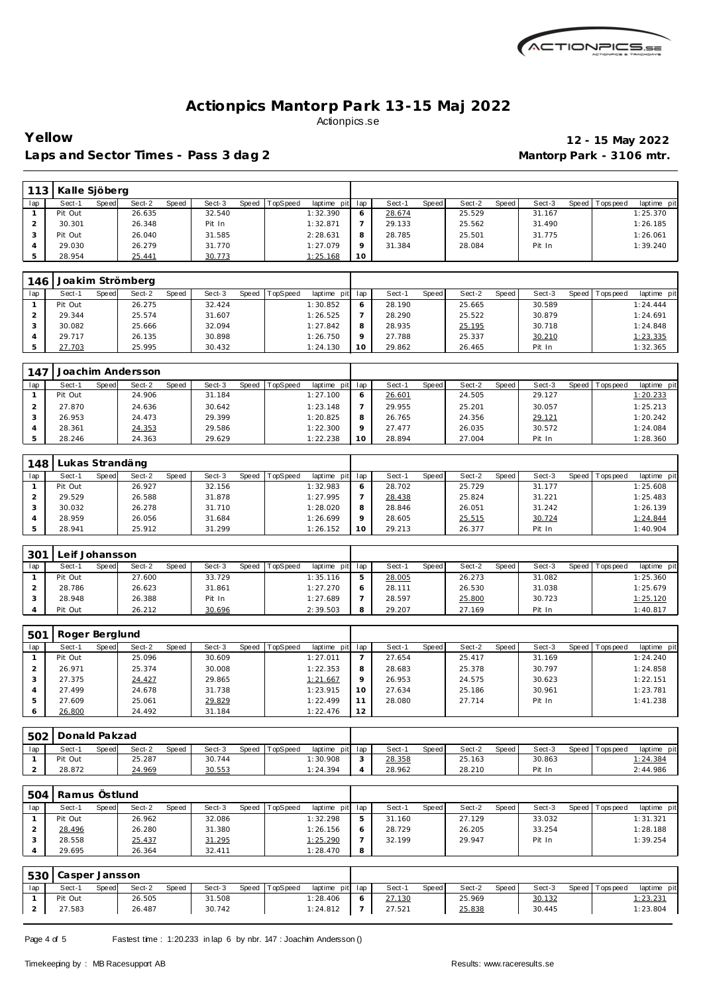

**Yellow 12 - 15 May 2022** Laps and Sector Times - Pass 3 dag 2 **Mantorp Park - 3106 mtr.** 

| 113 | Kalle Sjöberg |       |        |              |        |       |          |                 |    |        |       |        |       |        |                   |             |
|-----|---------------|-------|--------|--------------|--------|-------|----------|-----------------|----|--------|-------|--------|-------|--------|-------------------|-------------|
| lap | Sect-1        | Speed | Sect-2 | <b>Speed</b> | Sect-3 | Speed | TopSpeed | laptime pit lap |    | Sect-1 | Speed | Sect-2 | Speed | Sect-3 | Speed   Tops peed | laptime pit |
|     | Pit Out       |       | 26.635 |              | 32.540 |       |          | 1:32.390        |    | 28.674 |       | 25.529 |       | 31.167 |                   | 1:25.370    |
|     | 30.301        |       | 26.348 |              | Pit In |       |          | 1:32.871        |    | 29.133 |       | 25.562 |       | 31.490 |                   | 1:26.185    |
|     | Pit Out       |       | 26.040 |              | 31.585 |       |          | 2:28.631        | 8  | 28.785 |       | 25.501 |       | 31.775 |                   | 1:26.061    |
|     | 29.030        |       | 26.279 |              | 31.770 |       |          | 1:27.079        |    | 31.384 |       | 28.084 |       | Pit In |                   | 1:39.240    |
|     | 28.954        |       | 25.441 |              | 30.773 |       |          | 1:25.168        | 10 |        |       |        |       |        |                   |             |

| 146 |         |       | Joakim Strömberg |       |        |       |          |             |     |        |       |        |       |        |         |            |             |
|-----|---------|-------|------------------|-------|--------|-------|----------|-------------|-----|--------|-------|--------|-------|--------|---------|------------|-------------|
| lap | Sect-1  | Speed | Sect-2           | Speed | Sect-3 | Speed | TopSpeed | laptime pit | lap | Sect-  | Speed | Sect-2 | Speed | Sect-3 | Speed I | T ops peed | laptime pit |
|     | Pit Out |       | 26.275           |       | 32.424 |       |          | 1:30.852    | 6   | 28.190 |       | 25.665 |       | 30.589 |         |            | 1:24.444    |
|     | 29.344  |       | 25.574           |       | 31.607 |       |          | 1:26.525    |     | 28.290 |       | 25.522 |       | 30.879 |         |            | 1:24.691    |
|     | 30.082  |       | 25.666           |       | 32.094 |       |          | 1:27.842    | 8   | 28.935 |       | 25.195 |       | 30.718 |         |            | 1:24.848    |
|     | 29.717  |       | 26.135           |       | 30.898 |       |          | 1:26.750    | o   | 27.788 |       | 25.337 |       | 30.210 |         |            | 1: 23.335   |
|     | 27.703  |       | 25.995           |       | 30.432 |       |          | 1:24.130    | 10  | 29.862 |       | 26.465 |       | Pit In |         |            | 1:32.365    |

| 147 |         |       | Joachim Andersson |       |        |       |                 |                 |        |       |        |       |        |       |            |             |
|-----|---------|-------|-------------------|-------|--------|-------|-----------------|-----------------|--------|-------|--------|-------|--------|-------|------------|-------------|
| lap | Sect-1  | Speed | Sect-2            | Speed | Sect-3 | Speed | <b>TopSpeed</b> | laptime pit lap | Sect-  | Speed | Sect-2 | Speed | Sect-3 | Speed | Tops pee d | laptime pit |
|     | Pit Out |       | 24.906            |       | 31.184 |       |                 | 1:27.100        | 26.601 |       | 24.505 |       | 29.127 |       |            | 1:20.233    |
|     | 27.870  |       | 24.636            |       | 30.642 |       |                 | 1:23.148        | 29.955 |       | 25.201 |       | 30.057 |       |            | 1:25.213    |
|     | 26.953  |       | 24.473            |       | 29.399 |       |                 | 1:20.825        | 26.765 |       | 24.356 |       | 29.121 |       |            | 1:20.242    |
|     | 28.361  |       | 24.353            |       | 29.586 |       |                 | 1:22.300        | 27.477 |       | 26.035 |       | 30.572 |       |            | 1:24.084    |
|     | 28.246  |       | 24.363            |       | 29.629 |       |                 | 1:22.238        | 28.894 |       | 27.004 |       | Pit In |       |            | 1:28.360    |

| 148 | Lukas Strandäng |       |        |       |        |       |          |             |         |        |              |        |       |        |       |            |             |
|-----|-----------------|-------|--------|-------|--------|-------|----------|-------------|---------|--------|--------------|--------|-------|--------|-------|------------|-------------|
| lap | Sect-1          | Speed | Sect-2 | Speed | Sect-3 | Speed | TopSpeed | laptime pit | lap     | Sect-  | <b>Speed</b> | Sect-2 | Speed | Sect-3 | Speed | T ops peed | laptime pit |
|     | Pit Out         |       | 26.927 |       | 32.156 |       |          | 1:32.983    | 6       | 28.702 |              | 25.729 |       | 31.177 |       |            | 1:25.608    |
|     | 29.529          |       | 26.588 |       | 31.878 |       |          | 1:27.995    |         | 28.438 |              | 25.824 |       | 31.221 |       |            | 1:25.483    |
|     | 30.032          |       | 26.278 |       | 31.710 |       |          | 1:28.020    | 8       | 28.846 |              | 26.051 |       | 31.242 |       |            | 1:26.139    |
|     | 28.959          |       | 26.056 |       | 31.684 |       |          | 1:26.699    | $\circ$ | 28.605 |              | 25.515 |       | 30.724 |       |            | 1:24.844    |
|     | 28.941          |       | 25.912 |       | 31.299 |       |          | 1:26.152    | 10      | 29.213 |              | 26.377 |       | Pit In |       |            | 1:40.904    |

| 301 | eif Johansson. |       |        |       |        |       |                 |             |       |        |       |        |       |        |       |            |             |
|-----|----------------|-------|--------|-------|--------|-------|-----------------|-------------|-------|--------|-------|--------|-------|--------|-------|------------|-------------|
| lap | Sect-1         | Speed | Sect-2 | Speed | Sect-3 | Speed | <b>TopSpeed</b> | laptime pit | . lap | Sect-1 | Speed | Sect-2 | Speed | Sect-3 | Speed | Tops pee d | laptime pit |
|     | Pit Out        |       | 27.600 |       | 33.729 |       |                 | 1:35.116    |       | 28.005 |       | 26.273 |       | 31.082 |       |            | 1:25.360    |
|     | 28.786         |       | 26.623 |       | 31.861 |       |                 | 1:27.270    |       | 28.111 |       | 26.530 |       | 31.038 |       |            | 1:25.679    |
|     | 28.948         |       | 26.388 |       | Pit In |       |                 | 1:27.689    |       | 28.597 |       | 25.800 |       | 30.723 |       |            | 1:25.120    |
|     | Pit Out        |       | 26.212 |       | 30.696 |       |                 | 2:39.503    |       | 29.207 |       | 27.169 |       | Pit In |       |            | 1:40.817    |

| 501 | Roger Berglund |       |        |       |        |       |                 |             |         |        |       |        |       |        |                 |             |
|-----|----------------|-------|--------|-------|--------|-------|-----------------|-------------|---------|--------|-------|--------|-------|--------|-----------------|-------------|
| lap | Sect-1         | Speed | Sect-2 | Speed | Sect-3 | Speed | <b>TopSpeed</b> | laptime pit | lap     | Sect-1 | Speed | Sect-2 | Speed | Sect-3 | Speed Tops peed | laptime pit |
|     | Pit Out        |       | 25.096 |       | 30.609 |       |                 | 1:27.011    |         | 27.654 |       | 25.417 |       | 31.169 |                 | 1:24.240    |
|     | 26.971         |       | 25.374 |       | 30.008 |       |                 | 1:22.353    | 8       | 28.683 |       | 25.378 |       | 30.797 |                 | 1:24.858    |
|     | 27.375         |       | 24.427 |       | 29.865 |       |                 | 1:21.667    | $\circ$ | 26.953 |       | 24.575 |       | 30.623 |                 | 1:22.151    |
|     | 27.499         |       | 24.678 |       | 31.738 |       |                 | 1:23.915    | 10      | 27.634 |       | 25.186 |       | 30.961 |                 | 1:23.781    |
| 5   | 27.609         |       | 25.061 |       | 29.829 |       |                 | 1:22.499    |         | 28.080 |       | 27.714 |       | Pit In |                 | 1:41.238    |
|     | 26.800         |       | 24.492 |       | 31.184 |       |                 | 1:22.476    | 12      |        |       |        |       |        |                 |             |

| 502 | Donald Pakzad |       |        |       |        |       |          |                 |        |        |       |        |       |        |                 |             |  |
|-----|---------------|-------|--------|-------|--------|-------|----------|-----------------|--------|--------|-------|--------|-------|--------|-----------------|-------------|--|
| lap | Sect-'        | Speed | Sect-2 | Speed | Sect-3 | Speed | TopSpeed | laptime pit lap |        | Sect-  | Speed | Sect-2 | Speed | Sect-3 | Speed Tops peed | laptime pit |  |
|     | Pit Out       |       | 25.287 |       | 30.744 |       |          | 1:30.908        | $\sim$ | 28.358 |       | 25.163 |       | 30.863 |                 | 1:24.384    |  |
| -   | 28.872        |       | 24.969 |       | 30.553 |       |          | 1:24.394        |        | 28.962 |       | 28.210 |       | Pit In |                 | 2:44.986    |  |

| 504 | Ramus Östlund |       |        |       |        |       |          |                 |   |        |       |        |       |        |           |            |             |
|-----|---------------|-------|--------|-------|--------|-------|----------|-----------------|---|--------|-------|--------|-------|--------|-----------|------------|-------------|
| lap | Sect-1        | Speed | Sect-2 | Speed | Sect-3 | Speed | TopSpeed | laptime pit lap |   | Sect-1 | Speed | Sect-2 | Speed | Sect-3 | Speed I T | Tops pee d | laptime pit |
|     | Pit Out       |       | 26.962 |       | 32.086 |       |          | 1:32.298        |   | 31.160 |       | 27.129 |       | 33.032 |           |            | 1:31.321    |
|     | 28.496        |       | 26.280 |       | 31.380 |       |          | 1:26.156        |   | 28.729 |       | 26.205 |       | 33.254 |           |            | 1:28.188    |
|     | 28.558        |       | 25.437 |       | 31.295 |       |          | 1:25.290        |   | 32.199 |       | 29.947 |       | Pit In |           |            | 1:39.254    |
|     | 29.695        |       | 26.364 |       | 32.411 |       |          | 1:28.470        | 8 |        |       |        |       |        |           |            |             |

|     | 530 Casper Jansson |        |        |       |        |       |          |                 |            |        |       |        |       |        |                 |                 |  |
|-----|--------------------|--------|--------|-------|--------|-------|----------|-----------------|------------|--------|-------|--------|-------|--------|-----------------|-----------------|--|
| lap | Sect-1             | Speedl | Sect-2 | Speed | Sect-3 | Speed | TopSpeed | laptime pit lap |            | Sect-  | Speed | Sect-2 | Speed | Sect-3 | Speed Tops peed | laptime pit     |  |
|     | Pit Out            |        | 26.505 |       | 31.508 |       |          | 1:28.406        | $\epsilon$ | 27.130 |       | 25.969 |       | 30.132 |                 | <u>1:23.231</u> |  |
|     | 27.583             |        | 26.487 |       | 30.742 |       |          | 1:24.812        |            | 27.521 |       | 25.838 |       | 30.445 |                 | 1:23.804        |  |

Page 4 of 5 Fastest time : 1:20.233 in lap 6 by nbr. 147 : Joachim Andersson ()